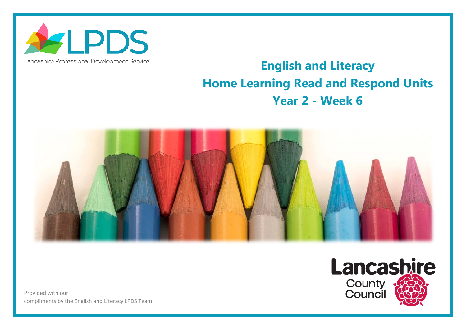

## Lancashire Professional Development Service

## **English and Literacy Home Learning Read and Respond Units Year 2 - Week 6**



Provided with our compliments by the English and Literacy LPDS Team

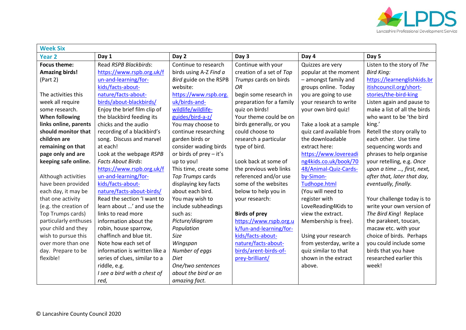

| <b>Week Six</b>       |                               |                           |                          |                          |                              |  |
|-----------------------|-------------------------------|---------------------------|--------------------------|--------------------------|------------------------------|--|
| <b>Year 2</b>         | Day 1                         | Day 2                     | Day 3                    | Day 4                    | Day 5                        |  |
| <b>Focus theme:</b>   | Read RSPB Blackbirds:         | Continue to research      | Continue with your       | Quizzes are very         | Listen to the story of The   |  |
| <b>Amazing birds!</b> | https://www.rspb.org.uk/f     | birds using A-Z Find a    | creation of a set of Top | popular at the moment    | <b>Bird King:</b>            |  |
| (Part 2)              | un-and-learning/for-          | Bird guide on the RSPB    | Trumps cards on birds    | - amongst family and     | https://learnenglishkids.br  |  |
|                       | kids/facts-about-             | website:                  | <b>OR</b>                | groups online. Today     | itishcouncil.org/short-      |  |
| The activities this   | nature/facts-about-           | https://www.rspb.org.     | begin some research in   | you are going to use     | stories/the-bird-king        |  |
| week all require      | birds/about-blackbirds/       | uk/birds-and-             | preparation for a family | your research to write   | Listen again and pause to    |  |
| some research.        | Enjoy the brief film clip of  | wildlife/wildlife-        | quiz on birds!           | your own bird quiz!      | make a list of all the birds |  |
| <b>When following</b> | the blackbird feeding its     | guides/bird-a-z/          | Your theme could be on   |                          | who want to be 'the bird     |  |
| links online, parents | chicks and the audio          | You may choose to         | birds generally, or you  | Take a look at a sample  | king.'                       |  |
| should monitor that   | recording of a blackbird's    | continue researching      | could choose to          | quiz card available from | Retell the story orally to   |  |
| children are          | song. Discuss and marvel      | garden birds or           | research a particular    | the downloadable         | each other. Use time         |  |
| remaining on that     | at each!                      | consider wading birds     | type of bird.            | extract here:            | sequencing words and         |  |
| page only and are     | Look at the webpage RSPB      | or birds of $prey - it's$ |                          | https://www.lovereadi    | phrases to help organise     |  |
| keeping safe online.  | <b>Facts About Birds:</b>     | up to you!                | Look back at some of     | ng4kids.co.uk/book/70    | your retelling, e.g. Once    |  |
|                       | https://www.rspb.org.uk/f     | This time, create some    | the previous web links   | 48/Animal-Quiz-Cards-    | upon a time , first, next,   |  |
| Although activities   | un-and-learning/for-          | Top Trumps cards          | referenced and/or use    | by-Simon-                | after that, later that day,  |  |
| have been provided    | kids/facts-about-             | displaying key facts      | some of the websites     | Tudhope.html             | eventually, finally.         |  |
| each day, it may be   | nature/facts-about-birds/     | about each bird.          | below to help you in     | (You will need to        |                              |  |
| that one activity     | Read the section 'I want to   | You may wish to           | your research:           | register with            | Your challenge today is to   |  |
| (e.g. the creation of | learn about ' and use the     | include subheadings       |                          | LoveReading4Kids to      | write your own version of    |  |
| Top Trumps cards)     | links to read more            | such as:                  | <b>Birds of prey</b>     | view the extract.        | The Bird King! Replace       |  |
| particularly enthuses | information about the         | Picture/diagram           | https://www.rspb.org.u   | Membership is free).     | the parakeet, toucan,        |  |
| your child and they   | robin, house sparrow,         | Population                | k/fun-and-learning/for-  |                          | macaw etc. with your         |  |
| wish to pursue this   | chaffinch and blue tit.       | <b>Size</b>               | kids/facts-about-        | Using your research      | choice of birds. Perhaps     |  |
| over more than one    | Note how each set of          | Wingspan                  | nature/facts-about-      | from yesterday, write a  | you could include some       |  |
| day. Prepare to be    | information is written like a | Number of eggs            | birds/arent-birds-of-    | quiz similar to that     | birds that you have          |  |
| flexible!             | series of clues, similar to a | <b>Diet</b>               | prey-brilliant/          | shown in the extract     | researched earlier this      |  |
|                       | riddle, e.g.                  | One/two sentences         |                          | above.                   | week!                        |  |
|                       | I see a bird with a chest of  | about the bird or an      |                          |                          |                              |  |
|                       | red,                          | amazing fact.             |                          |                          |                              |  |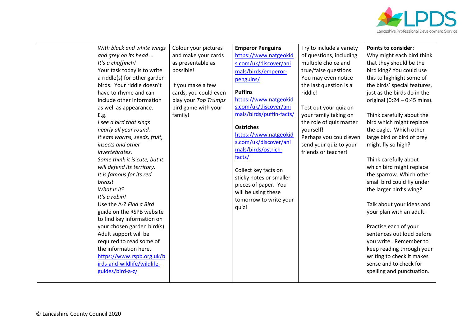

|  | With black and white wings<br>and grey on its head<br>It's a chaffinch!<br>Your task today is to write<br>a riddle(s) for other garden<br>birds. Your riddle doesn't<br>have to rhyme and can<br>include other information<br>as well as appearance.<br>E.g.<br>I see a bird that sings<br>nearly all year round.<br>It eats worms, seeds, fruit,<br>insects and other<br>invertebrates.<br>Some think it is cute, but it<br>will defend its territory.<br>It is famous for its red<br>breast.<br>What is it?<br>It's a robin!<br>Use the A-Z Find a Bird<br>guide on the RSPB website<br>to find key information on<br>your chosen garden bird(s).<br>Adult support will be<br>required to read some of<br>the information here. | Colour your pictures<br>and make your cards<br>as presentable as<br>possible!<br>If you make a few<br>cards, you could even<br>play your Top Trumps<br>bird game with your<br>family! | <b>Emperor Penguins</b><br>https://www.natgeokid<br>s.com/uk/discover/ani<br>mals/birds/emperor-<br>penguins/<br><b>Puffins</b><br>https://www.natgeokid<br>s.com/uk/discover/ani<br>mals/birds/puffin-facts/<br><b>Ostriches</b><br>https://www.natgeokid<br>s.com/uk/discover/ani<br>mals/birds/ostrich-<br>facts/<br>Collect key facts on<br>sticky notes or smaller<br>pieces of paper. You<br>will be using these<br>tomorrow to write your<br>quiz! | Try to include a variety<br>of questions, including<br>multiple choice and<br>true/false questions.<br>You may even notice<br>the last question is a<br>riddle!<br>Test out your quiz on<br>your family taking on<br>the role of quiz master<br>yourself!<br>Perhaps you could even<br>send your quiz to your<br>friends or teacher! | <b>Points to consider:</b><br>Why might each bird think<br>that they should be the<br>bird king? You could use<br>this to highlight some of<br>the birds' special features,<br>just as the birds do in the<br>original $(0:24 - 0:45$ mins).<br>Think carefully about the<br>bird which might replace<br>the eagle. Which other<br>large bird or bird of prey<br>might fly so high?<br>Think carefully about<br>which bird might replace<br>the sparrow. Which other<br>small bird could fly under<br>the larger bird's wing?<br>Talk about your ideas and<br>your plan with an adult.<br>Practise each of your<br>sentences out loud before<br>you write. Remember to<br>keep reading through your |
|--|-----------------------------------------------------------------------------------------------------------------------------------------------------------------------------------------------------------------------------------------------------------------------------------------------------------------------------------------------------------------------------------------------------------------------------------------------------------------------------------------------------------------------------------------------------------------------------------------------------------------------------------------------------------------------------------------------------------------------------------|---------------------------------------------------------------------------------------------------------------------------------------------------------------------------------------|-----------------------------------------------------------------------------------------------------------------------------------------------------------------------------------------------------------------------------------------------------------------------------------------------------------------------------------------------------------------------------------------------------------------------------------------------------------|--------------------------------------------------------------------------------------------------------------------------------------------------------------------------------------------------------------------------------------------------------------------------------------------------------------------------------------|-----------------------------------------------------------------------------------------------------------------------------------------------------------------------------------------------------------------------------------------------------------------------------------------------------------------------------------------------------------------------------------------------------------------------------------------------------------------------------------------------------------------------------------------------------------------------------------------------------------------------------------------------------------------------------------------------------|
|  | https://www.rspb.org.uk/b<br>irds-and-wildlife/wildlife-<br>guides/bird-a-z/                                                                                                                                                                                                                                                                                                                                                                                                                                                                                                                                                                                                                                                      |                                                                                                                                                                                       |                                                                                                                                                                                                                                                                                                                                                                                                                                                           |                                                                                                                                                                                                                                                                                                                                      | writing to check it makes<br>sense and to check for<br>spelling and punctuation.                                                                                                                                                                                                                                                                                                                                                                                                                                                                                                                                                                                                                    |
|  |                                                                                                                                                                                                                                                                                                                                                                                                                                                                                                                                                                                                                                                                                                                                   |                                                                                                                                                                                       |                                                                                                                                                                                                                                                                                                                                                                                                                                                           |                                                                                                                                                                                                                                                                                                                                      |                                                                                                                                                                                                                                                                                                                                                                                                                                                                                                                                                                                                                                                                                                     |